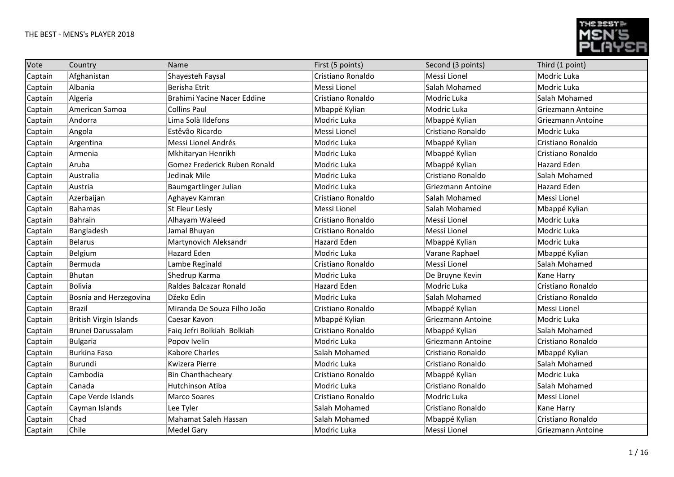

| Vote    | Country                       | Name                         | First (5 points)  | Second (3 points) | Third (1 point)   |
|---------|-------------------------------|------------------------------|-------------------|-------------------|-------------------|
| Captain | Afghanistan                   | Shayesteh Faysal             | Cristiano Ronaldo | Messi Lionel      | Modric Luka       |
| Captain | Albania                       | Berisha Etrit                | Messi Lionel      | Salah Mohamed     | Modric Luka       |
| Captain | Algeria                       | Brahimi Yacine Nacer Eddine  | Cristiano Ronaldo | Modric Luka       | Salah Mohamed     |
| Captain | American Samoa                | <b>Collins Paul</b>          | Mbappé Kylian     | Modric Luka       | Griezmann Antoine |
| Captain | Andorra                       | Lima Solà Ildefons           | Modric Luka       | Mbappé Kylian     | Griezmann Antoine |
| Captain | Angola                        | Estêvão Ricardo              | Messi Lionel      | Cristiano Ronaldo | Modric Luka       |
| Captain | Argentina                     | Messi Lionel Andrés          | Modric Luka       | Mbappé Kylian     | Cristiano Ronaldo |
| Captain | Armenia                       | Mkhitaryan Henrikh           | Modric Luka       | Mbappé Kylian     | Cristiano Ronaldo |
| Captain | Aruba                         | Gomez Frederick Ruben Ronald | Modric Luka       | Mbappé Kylian     | Hazard Eden       |
| Captain | Australia                     | Jedinak Mile                 | Modric Luka       | Cristiano Ronaldo | Salah Mohamed     |
| Captain | Austria                       | Baumgartlinger Julian        | Modric Luka       | Griezmann Antoine | Hazard Eden       |
| Captain | Azerbaijan                    | Aghayev Kamran               | Cristiano Ronaldo | Salah Mohamed     | Messi Lionel      |
| Captain | Bahamas                       | <b>St Fleur Lesly</b>        | Messi Lionel      | Salah Mohamed     | Mbappé Kylian     |
| Captain | Bahrain                       | Alhayam Waleed               | Cristiano Ronaldo | Messi Lionel      | Modric Luka       |
| Captain | Bangladesh                    | Jamal Bhuyan                 | Cristiano Ronaldo | Messi Lionel      | Modric Luka       |
| Captain | Belarus                       | Martynovich Aleksandr        | Hazard Eden       | Mbappé Kylian     | Modric Luka       |
| Captain | Belgium                       | Hazard Eden                  | Modric Luka       | Varane Raphael    | Mbappé Kylian     |
| Captain | Bermuda                       | Lambe Reginald               | Cristiano Ronaldo | Messi Lionel      | Salah Mohamed     |
| Captain | Bhutan                        | Shedrup Karma                | Modric Luka       | De Bruyne Kevin   | Kane Harry        |
| Captain | Bolivia                       | Raldes Balcazar Ronald       | Hazard Eden       | Modric Luka       | Cristiano Ronaldo |
| Captain | Bosnia and Herzegovina        | Džeko Edin                   | Modric Luka       | Salah Mohamed     | Cristiano Ronaldo |
| Captain | <b>Brazil</b>                 | Miranda De Souza Filho João  | Cristiano Ronaldo | Mbappé Kylian     | Messi Lionel      |
| Captain | <b>British Virgin Islands</b> | Caesar Kavon                 | Mbappé Kylian     | Griezmann Antoine | Modric Luka       |
| Captain | Brunei Darussalam             | Faiq Jefri Bolkiah Bolkiah   | Cristiano Ronaldo | Mbappé Kylian     | Salah Mohamed     |
| Captain | Bulgaria                      | Popov Ivelin                 | Modric Luka       | Griezmann Antoine | Cristiano Ronaldo |
| Captain | <b>Burkina Faso</b>           | <b>Kabore Charles</b>        | Salah Mohamed     | Cristiano Ronaldo | Mbappé Kylian     |
| Captain | Burundi                       | Kwizera Pierre               | Modric Luka       | Cristiano Ronaldo | Salah Mohamed     |
| Captain | Cambodia                      | <b>Bin Chanthacheary</b>     | Cristiano Ronaldo | Mbappé Kylian     | Modric Luka       |
| Captain | Canada                        | Hutchinson Atiba             | Modric Luka       | Cristiano Ronaldo | Salah Mohamed     |
| Captain | Cape Verde Islands            | <b>Marco Soares</b>          | Cristiano Ronaldo | Modric Luka       | Messi Lionel      |
| Captain | Cayman Islands                | Lee Tyler                    | Salah Mohamed     | Cristiano Ronaldo | Kane Harry        |
| Captain | Chad                          | Mahamat Saleh Hassan         | Salah Mohamed     | Mbappé Kylian     | Cristiano Ronaldo |
| Captain | Chile                         | <b>Medel Gary</b>            | Modric Luka       | Messi Lionel      | Griezmann Antoine |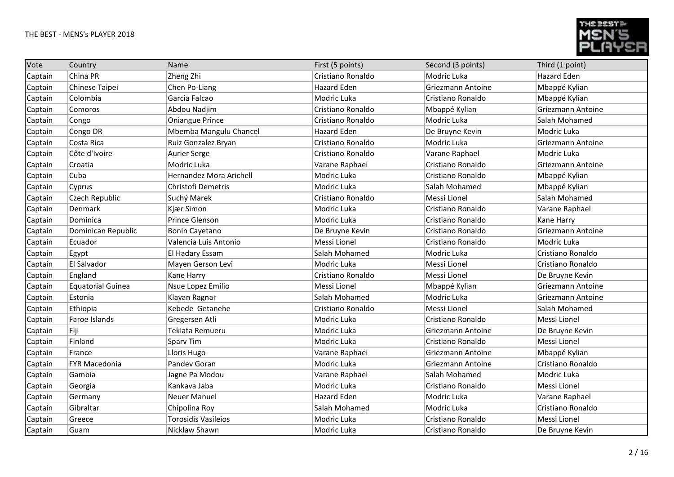

| Vote    | Country                  | Name                       | First (5 points)  | Second (3 points) | Third (1 point)          |
|---------|--------------------------|----------------------------|-------------------|-------------------|--------------------------|
| Captain | China PR                 | Zheng Zhi                  | Cristiano Ronaldo | Modric Luka       | Hazard Eden              |
| Captain | Chinese Taipei           | Chen Po-Liang              | Hazard Eden       | Griezmann Antoine | Mbappé Kylian            |
| Captain | Colombia                 | Garcia Falcao              | Modric Luka       | Cristiano Ronaldo | Mbappé Kylian            |
| Captain | Comoros                  | Abdou Nadjim               | Cristiano Ronaldo | Mbappé Kylian     | Griezmann Antoine        |
| Captain | Congo                    | <b>Oniangue Prince</b>     | Cristiano Ronaldo | Modric Luka       | Salah Mohamed            |
| Captain | Congo DR                 | Mbemba Mangulu Chancel     | Hazard Eden       | De Bruyne Kevin   | Modric Luka              |
| Captain | Costa Rica               | Ruiz Gonzalez Bryan        | Cristiano Ronaldo | Modric Luka       | <b>Griezmann Antoine</b> |
| Captain | Côte d'Ivoire            | Aurier Serge               | Cristiano Ronaldo | Varane Raphael    | Modric Luka              |
| Captain | Croatia                  | Modric Luka                | Varane Raphael    | Cristiano Ronaldo | Griezmann Antoine        |
| Captain | Cuba                     | Hernandez Mora Arichell    | Modric Luka       | Cristiano Ronaldo | Mbappé Kylian            |
| Captain | Cyprus                   | Christofi Demetris         | Modric Luka       | Salah Mohamed     | Mbappé Kylian            |
| Captain | Czech Republic           | Suchý Marek                | Cristiano Ronaldo | Messi Lionel      | Salah Mohamed            |
| Captain | Denmark                  | Kjær Simon                 | Modric Luka       | Cristiano Ronaldo | Varane Raphael           |
| Captain | Dominica                 | Prince Glenson             | Modric Luka       | Cristiano Ronaldo | Kane Harry               |
| Captain | Dominican Republic       | <b>Bonin Cayetano</b>      | De Bruyne Kevin   | Cristiano Ronaldo | Griezmann Antoine        |
| Captain | Ecuador                  | Valencia Luis Antonio      | Messi Lionel      | Cristiano Ronaldo | Modric Luka              |
| Captain | Egypt                    | El Hadary Essam            | Salah Mohamed     | Modric Luka       | Cristiano Ronaldo        |
| Captain | El Salvador              | Mayen Gerson Levi          | Modric Luka       | Messi Lionel      | Cristiano Ronaldo        |
| Captain | England                  | <b>Kane Harry</b>          | Cristiano Ronaldo | Messi Lionel      | De Bruyne Kevin          |
| Captain | <b>Equatorial Guinea</b> | Nsue Lopez Emilio          | Messi Lionel      | Mbappé Kylian     | <b>Griezmann Antoine</b> |
| Captain | Estonia                  | Klavan Ragnar              | Salah Mohamed     | Modric Luka       | Griezmann Antoine        |
| Captain | Ethiopia                 | Kebede Getanehe            | Cristiano Ronaldo | Messi Lionel      | Salah Mohamed            |
| Captain | Faroe Islands            | Gregersen Atli             | Modric Luka       | Cristiano Ronaldo | Messi Lionel             |
| Captain | Fiji                     | Tekiata Remueru            | Modric Luka       | Griezmann Antoine | De Bruyne Kevin          |
| Captain | Finland                  | <b>Sparv Tim</b>           | Modric Luka       | Cristiano Ronaldo | Messi Lionel             |
| Captain | France                   | Lloris Hugo                | Varane Raphael    | Griezmann Antoine | Mbappé Kylian            |
| Captain | <b>FYR Macedonia</b>     | Pandev Goran               | Modric Luka       | Griezmann Antoine | Cristiano Ronaldo        |
| Captain | Gambia                   | Jagne Pa Modou             | Varane Raphael    | Salah Mohamed     | Modric Luka              |
| Captain | Georgia                  | Kankava Jaba               | Modric Luka       | Cristiano Ronaldo | Messi Lionel             |
| Captain | Germany                  | <b>Neuer Manuel</b>        | Hazard Eden       | Modric Luka       | Varane Raphael           |
| Captain | Gibraltar                | Chipolina Roy              | Salah Mohamed     | Modric Luka       | Cristiano Ronaldo        |
| Captain | Greece                   | <b>Torosidis Vasileios</b> | Modric Luka       | Cristiano Ronaldo | Messi Lionel             |
| Captain | Guam                     | Nicklaw Shawn              | Modric Luka       | Cristiano Ronaldo | De Bruyne Kevin          |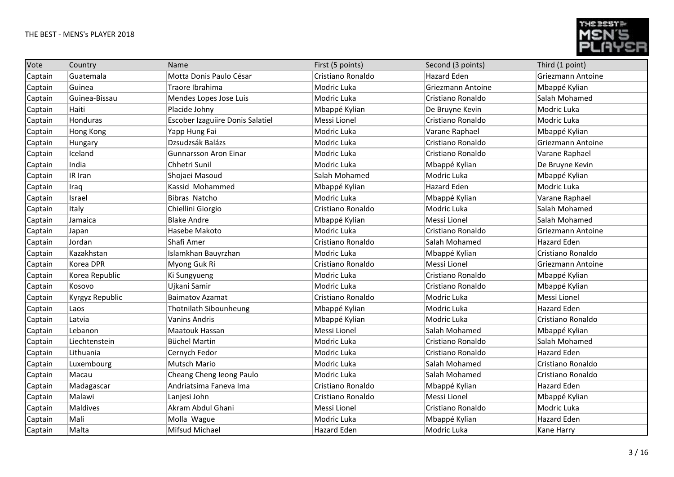

| Vote    | Country         | Name                                    | First (5 points)   | Second (3 points)  | Third (1 point)          |
|---------|-----------------|-----------------------------------------|--------------------|--------------------|--------------------------|
| Captain | Guatemala       | Motta Donis Paulo César                 | Cristiano Ronaldo  | <b>Hazard Eden</b> | Griezmann Antoine        |
| Captain | Guinea          | Traore Ibrahima                         | Modric Luka        | Griezmann Antoine  | Mbappé Kylian            |
| Captain | Guinea-Bissau   | Mendes Lopes Jose Luis                  | Modric Luka        | Cristiano Ronaldo  | Salah Mohamed            |
| Captain | Haiti           | Placide Johny                           | Mbappé Kylian      | De Bruyne Kevin    | Modric Luka              |
| Captain | Honduras        | <b>Escober Izaguiire Donis Salatiel</b> | Messi Lionel       | Cristiano Ronaldo  | Modric Luka              |
| Captain | Hong Kong       | Yapp Hung Fai                           | Modric Luka        | Varane Raphael     | Mbappé Kylian            |
| Captain | Hungary         | Dzsudzsák Balázs                        | Modric Luka        | Cristiano Ronaldo  | <b>Griezmann Antoine</b> |
| Captain | Iceland         | <b>Gunnarsson Aron Einar</b>            | Modric Luka        | Cristiano Ronaldo  | Varane Raphael           |
| Captain | India           | Chhetri Sunil                           | Modric Luka        | Mbappé Kylian      | De Bruyne Kevin          |
| Captain | IR Iran         | Shojaei Masoud                          | Salah Mohamed      | Modric Luka        | Mbappé Kylian            |
| Captain | Iraq            | Kassid Mohammed                         | Mbappé Kylian      | <b>Hazard Eden</b> | Modric Luka              |
| Captain | Israel          | Bibras Natcho                           | Modric Luka        | Mbappé Kylian      | Varane Raphael           |
| Captain | Italy           | Chiellini Giorgio                       | Cristiano Ronaldo  | Modric Luka        | Salah Mohamed            |
| Captain | Jamaica         | <b>Blake Andre</b>                      | Mbappé Kylian      | Messi Lionel       | Salah Mohamed            |
| Captain | Japan           | Hasebe Makoto                           | Modric Luka        | Cristiano Ronaldo  | Griezmann Antoine        |
| Captain | Jordan          | Shafi Amer                              | Cristiano Ronaldo  | Salah Mohamed      | <b>Hazard Eden</b>       |
| Captain | Kazakhstan      | Islamkhan Bauyrzhan                     | Modric Luka        | Mbappé Kylian      | Cristiano Ronaldo        |
| Captain | Korea DPR       | Myong Guk Ri                            | Cristiano Ronaldo  | Messi Lionel       | Griezmann Antoine        |
| Captain | Korea Republic  | Ki Sungyueng                            | Modric Luka        | Cristiano Ronaldo  | Mbappé Kylian            |
| Captain | Kosovo          | Ujkani Samir                            | Modric Luka        | Cristiano Ronaldo  | Mbappé Kylian            |
| Captain | Kyrgyz Republic | <b>Baimatov Azamat</b>                  | Cristiano Ronaldo  | Modric Luka        | Messi Lionel             |
| Captain | Laos            | Thotnilath Sibounheung                  | Mbappé Kylian      | Modric Luka        | <b>Hazard Eden</b>       |
| Captain | Latvia          | <b>Vanins Andris</b>                    | Mbappé Kylian      | Modric Luka        | Cristiano Ronaldo        |
| Captain | Lebanon         | Maatouk Hassan                          | Messi Lionel       | Salah Mohamed      | Mbappé Kylian            |
| Captain | Liechtenstein   | <b>Büchel Martin</b>                    | Modric Luka        | Cristiano Ronaldo  | Salah Mohamed            |
| Captain | Lithuania       | Cernych Fedor                           | Modric Luka        | Cristiano Ronaldo  | <b>Hazard Eden</b>       |
| Captain | Luxembourg      | Mutsch Mario                            | Modric Luka        | Salah Mohamed      | Cristiano Ronaldo        |
| Captain | Macau           | Cheang Cheng leong Paulo                | Modric Luka        | Salah Mohamed      | Cristiano Ronaldo        |
| Captain | Madagascar      | Andriatsima Faneva Ima                  | Cristiano Ronaldo  | Mbappé Kylian      | <b>Hazard Eden</b>       |
| Captain | Malawi          | Lanjesi John                            | Cristiano Ronaldo  | Messi Lionel       | Mbappé Kylian            |
| Captain | Maldives        | Akram Abdul Ghani                       | Messi Lionel       | Cristiano Ronaldo  | Modric Luka              |
| Captain | Mali            | Molla Wague                             | Modric Luka        | Mbappé Kylian      | <b>Hazard Eden</b>       |
| Captain | Malta           | Mifsud Michael                          | <b>Hazard Eden</b> | Modric Luka        | Kane Harry               |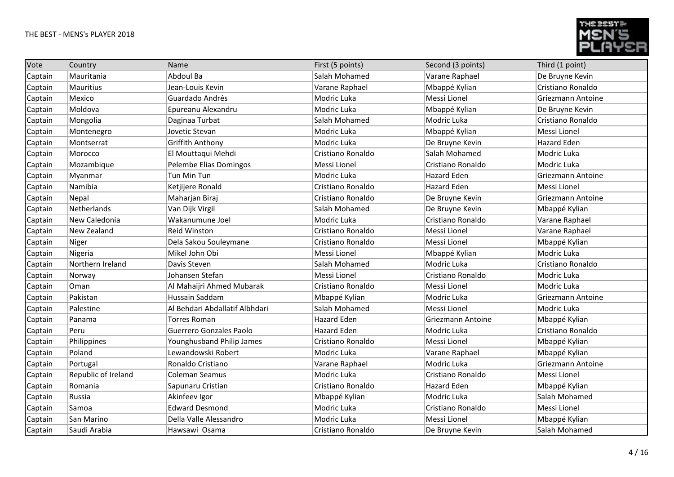

| Vote    | Country             | Name                           | First (5 points)   | Second (3 points)  | Third (1 point)    |
|---------|---------------------|--------------------------------|--------------------|--------------------|--------------------|
| Captain | Mauritania          | Abdoul Ba                      | Salah Mohamed      | Varane Raphael     | De Bruyne Kevin    |
| Captain | Mauritius           | Jean-Louis Kevin               | Varane Raphael     | Mbappé Kylian      | Cristiano Ronaldo  |
| Captain | Mexico              | Guardado Andrés                | Modric Luka        | Messi Lionel       | Griezmann Antoine  |
| Captain | Moldova             | Epureanu Alexandru             | Modric Luka        | Mbappé Kylian      | De Bruyne Kevin    |
| Captain | Mongolia            | Daginaa Turbat                 | Salah Mohamed      | Modric Luka        | Cristiano Ronaldo  |
| Captain | Montenegro          | Jovetic Stevan                 | Modric Luka        | Mbappé Kylian      | Messi Lionel       |
| Captain | Montserrat          | <b>Griffith Anthony</b>        | Modric Luka        | De Bruyne Kevin    | <b>Hazard Eden</b> |
| Captain | Morocco             | El Mouttaqui Mehdi             | Cristiano Ronaldo  | Salah Mohamed      | Modric Luka        |
| Captain | Mozambique          | Pelembe Elias Domingos         | Messi Lionel       | Cristiano Ronaldo  | Modric Luka        |
| Captain | Myanmar             | Tun Min Tun                    | Modric Luka        | <b>Hazard Eden</b> | Griezmann Antoine  |
| Captain | Namibia             | Ketjijere Ronald               | Cristiano Ronaldo  | <b>Hazard Eden</b> | Messi Lionel       |
| Captain | Nepal               | Maharjan Biraj                 | Cristiano Ronaldo  | De Bruyne Kevin    | Griezmann Antoine  |
| Captain | Netherlands         | Van Dijk Virgil                | Salah Mohamed      | De Bruyne Kevin    | Mbappé Kylian      |
| Captain | New Caledonia       | Wakanumune Joel                | Modric Luka        | Cristiano Ronaldo  | Varane Raphael     |
| Captain | New Zealand         | <b>Reid Winston</b>            | Cristiano Ronaldo  | Messi Lionel       | Varane Raphael     |
| Captain | Niger               | Dela Sakou Souleymane          | Cristiano Ronaldo  | Messi Lionel       | Mbappé Kylian      |
| Captain | Nigeria             | Mikel John Obi                 | Messi Lionel       | Mbappé Kylian      | Modric Luka        |
| Captain | Northern Ireland    | Davis Steven                   | Salah Mohamed      | Modric Luka        | Cristiano Ronaldo  |
| Captain | Norway              | Johansen Stefan                | Messi Lionel       | Cristiano Ronaldo  | Modric Luka        |
| Captain | Oman                | Al Mahaijri Ahmed Mubarak      | Cristiano Ronaldo  | Messi Lionel       | Modric Luka        |
| Captain | Pakistan            | Hussain Saddam                 | Mbappé Kylian      | Modric Luka        | Griezmann Antoine  |
| Captain | Palestine           | Al Behdari Abdallatif Albhdari | Salah Mohamed      | Messi Lionel       | Modric Luka        |
| Captain | Panama              | <b>Torres Roman</b>            | <b>Hazard Eden</b> | Griezmann Antoine  | Mbappé Kylian      |
| Captain | Peru                | Guerrero Gonzales Paolo        | <b>Hazard Eden</b> | Modric Luka        | Cristiano Ronaldo  |
| Captain | Philippines         | Younghusband Philip James      | Cristiano Ronaldo  | Messi Lionel       | Mbappé Kylian      |
| Captain | Poland              | Lewandowski Robert             | Modric Luka        | Varane Raphael     | Mbappé Kylian      |
| Captain | Portugal            | Ronaldo Cristiano              | Varane Raphael     | Modric Luka        | Griezmann Antoine  |
| Captain | Republic of Ireland | <b>Coleman Seamus</b>          | Modric Luka        | Cristiano Ronaldo  | Messi Lionel       |
| Captain | Romania             | Sapunaru Cristian              | Cristiano Ronaldo  | Hazard Eden        | Mbappé Kylian      |
| Captain | Russia              | Akinfeev Igor                  | Mbappé Kylian      | Modric Luka        | Salah Mohamed      |
| Captain | Samoa               | <b>Edward Desmond</b>          | Modric Luka        | Cristiano Ronaldo  | Messi Lionel       |
| Captain | San Marino          | Della Valle Alessandro         | Modric Luka        | Messi Lionel       | Mbappé Kylian      |
| Captain | Saudi Arabia        | Hawsawi Osama                  | Cristiano Ronaldo  | De Bruyne Kevin    | Salah Mohamed      |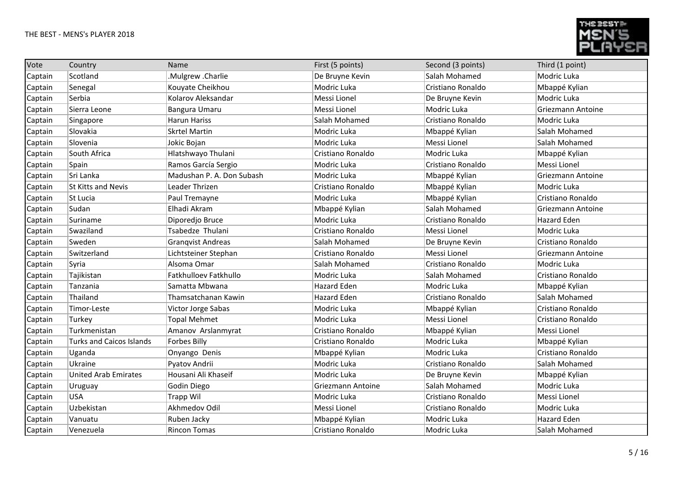

| Vote    | Country                         | Name                      | First (5 points)  | Second (3 points) | Third (1 point)    |
|---------|---------------------------------|---------------------------|-------------------|-------------------|--------------------|
| Captain | Scotland                        | .Mulgrew .Charlie         | De Bruyne Kevin   | Salah Mohamed     | Modric Luka        |
| Captain | Senegal                         | Kouyate Cheikhou          | Modric Luka       | Cristiano Ronaldo | Mbappé Kylian      |
| Captain | Serbia                          | Kolarov Aleksandar        | Messi Lionel      | De Bruyne Kevin   | Modric Luka        |
| Captain | Sierra Leone                    | Bangura Umaru             | Messi Lionel      | Modric Luka       | Griezmann Antoine  |
| Captain | Singapore                       | <b>Harun Hariss</b>       | Salah Mohamed     | Cristiano Ronaldo | Modric Luka        |
| Captain | Slovakia                        | <b>Skrtel Martin</b>      | Modric Luka       | Mbappé Kylian     | Salah Mohamed      |
| Captain | Slovenia                        | Jokic Bojan               | Modric Luka       | Messi Lionel      | Salah Mohamed      |
| Captain | South Africa                    | Hlatshwayo Thulani        | Cristiano Ronaldo | Modric Luka       | Mbappé Kylian      |
| Captain | Spain                           | Ramos García Sergio       | Modric Luka       | Cristiano Ronaldo | Messi Lionel       |
| Captain | Sri Lanka                       | Madushan P. A. Don Subash | Modric Luka       | Mbappé Kylian     | Griezmann Antoine  |
| Captain | <b>St Kitts and Nevis</b>       | Leader Thrizen            | Cristiano Ronaldo | Mbappé Kylian     | Modric Luka        |
| Captain | St Lucia                        | Paul Tremayne             | Modric Luka       | Mbappé Kylian     | Cristiano Ronaldo  |
| Captain | Sudan                           | Elhadi Akram              | Mbappé Kylian     | Salah Mohamed     | Griezmann Antoine  |
| Captain | Suriname                        | Diporedjo Bruce           | Modric Luka       | Cristiano Ronaldo | <b>Hazard Eden</b> |
| Captain | Swaziland                       | Tsabedze Thulani          | Cristiano Ronaldo | Messi Lionel      | Modric Luka        |
| Captain | Sweden                          | <b>Granqvist Andreas</b>  | Salah Mohamed     | De Bruyne Kevin   | Cristiano Ronaldo  |
| Captain | Switzerland                     | Lichtsteiner Stephan      | Cristiano Ronaldo | Messi Lionel      | Griezmann Antoine  |
| Captain | Syria                           | Alsoma Omar               | Salah Mohamed     | Cristiano Ronaldo | Modric Luka        |
| Captain | Tajikistan                      | Fatkhulloev Fatkhullo     | Modric Luka       | Salah Mohamed     | Cristiano Ronaldo  |
| Captain | Tanzania                        | Samatta Mbwana            | Hazard Eden       | Modric Luka       | Mbappé Kylian      |
| Captain | Thailand                        | Thamsatchanan Kawin       | Hazard Eden       | Cristiano Ronaldo | Salah Mohamed      |
| Captain | Timor-Leste                     | Victor Jorge Sabas        | Modric Luka       | Mbappé Kylian     | Cristiano Ronaldo  |
| Captain | Turkey                          | <b>Topal Mehmet</b>       | Modric Luka       | Messi Lionel      | Cristiano Ronaldo  |
| Captain | Turkmenistan                    | Amanov Arslanmyrat        | Cristiano Ronaldo | Mbappé Kylian     | Messi Lionel       |
| Captain | <b>Turks and Caicos Islands</b> | <b>Forbes Billy</b>       | Cristiano Ronaldo | Modric Luka       | Mbappé Kylian      |
| Captain | Uganda                          | Onyango Denis             | Mbappé Kylian     | Modric Luka       | Cristiano Ronaldo  |
| Captain | Ukraine                         | Pyatov Andrii             | Modric Luka       | Cristiano Ronaldo | Salah Mohamed      |
| Captain | <b>United Arab Emirates</b>     | Housani Ali Khaseif       | Modric Luka       | De Bruyne Kevin   | Mbappé Kylian      |
| Captain | Uruguay                         | Godin Diego               | Griezmann Antoine | Salah Mohamed     | Modric Luka        |
| Captain | <b>USA</b>                      | <b>Trapp Wil</b>          | Modric Luka       | Cristiano Ronaldo | Messi Lionel       |
| Captain | Uzbekistan                      | Akhmedov Odil             | Messi Lionel      | Cristiano Ronaldo | Modric Luka        |
| Captain | Vanuatu                         | Ruben Jacky               | Mbappé Kylian     | Modric Luka       | <b>Hazard Eden</b> |
| Captain | Venezuela                       | <b>Rincon Tomas</b>       | Cristiano Ronaldo | Modric Luka       | Salah Mohamed      |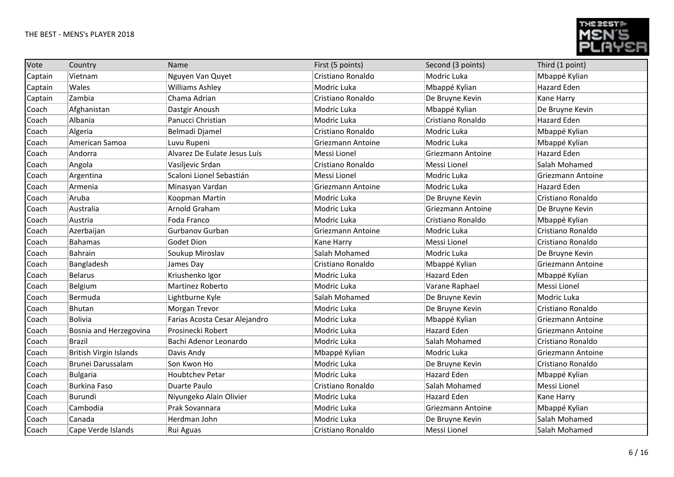

| Vote    | Country                       | Name                          | First (5 points)  | Second (3 points)  | Third (1 point)   |
|---------|-------------------------------|-------------------------------|-------------------|--------------------|-------------------|
| Captain | Vietnam                       | Nguyen Van Quyet              | Cristiano Ronaldo | Modric Luka        | Mbappé Kylian     |
| Captain | Wales                         | <b>Williams Ashley</b>        | Modric Luka       | Mbappé Kylian      | Hazard Eden       |
| Captain | Zambia                        | Chama Adrian                  | Cristiano Ronaldo | De Bruyne Kevin    | Kane Harry        |
| Coach   | Afghanistan                   | Dastgir Anoush                | Modric Luka       | Mbappé Kylian      | De Bruyne Kevin   |
| Coach   | Albania                       | Panucci Christian             | Modric Luka       | Cristiano Ronaldo  | Hazard Eden       |
| Coach   | Algeria                       | Belmadi Djamel                | Cristiano Ronaldo | Modric Luka        | Mbappé Kylian     |
| Coach   | American Samoa                | Luvu Rupeni                   | Griezmann Antoine | Modric Luka        | Mbappé Kylian     |
| Coach   | Andorra                       | Alvarez De Eulate Jesus Luís  | Messi Lionel      | Griezmann Antoine  | Hazard Eden       |
| Coach   | Angola                        | Vasiljevic Srdan              | Cristiano Ronaldo | Messi Lionel       | Salah Mohamed     |
| Coach   | Argentina                     | Scaloni Lionel Sebastián      | Messi Lionel      | Modric Luka        | Griezmann Antoine |
| Coach   | Armenia                       | Minasyan Vardan               | Griezmann Antoine | Modric Luka        | Hazard Eden       |
| Coach   | Aruba                         | Koopman Martin                | Modric Luka       | De Bruyne Kevin    | Cristiano Ronaldo |
| Coach   | Australia                     | Arnold Graham                 | Modric Luka       | Griezmann Antoine  | De Bruyne Kevin   |
| Coach   | Austria                       | Foda Franco                   | Modric Luka       | Cristiano Ronaldo  | Mbappé Kylian     |
| Coach   | Azerbaijan                    | Gurbanov Gurban               | Griezmann Antoine | Modric Luka        | Cristiano Ronaldo |
| Coach   | <b>Bahamas</b>                | Godet Dion                    | Kane Harry        | Messi Lionel       | Cristiano Ronaldo |
| Coach   | Bahrain                       | Soukup Miroslav               | Salah Mohamed     | Modric Luka        | De Bruyne Kevin   |
| Coach   | Bangladesh                    | James Day                     | Cristiano Ronaldo | Mbappé Kylian      | Griezmann Antoine |
| Coach   | Belarus                       | Kriushenko Igor               | Modric Luka       | <b>Hazard Eden</b> | Mbappé Kylian     |
| Coach   | Belgium                       | Martinez Roberto              | Modric Luka       | Varane Raphael     | Messi Lionel      |
| Coach   | Bermuda                       | Lightburne Kyle               | Salah Mohamed     | De Bruyne Kevin    | Modric Luka       |
| Coach   | Bhutan                        | Morgan Trevor                 | Modric Luka       | De Bruyne Kevin    | Cristiano Ronaldo |
| Coach   | <b>Bolivia</b>                | Farias Acosta Cesar Alejandro | Modric Luka       | Mbappé Kylian      | Griezmann Antoine |
| Coach   | Bosnia and Herzegovina        | Prosinecki Robert             | Modric Luka       | <b>Hazard Eden</b> | Griezmann Antoine |
| Coach   | <b>Brazil</b>                 | Bachi Adenor Leonardo         | Modric Luka       | Salah Mohamed      | Cristiano Ronaldo |
| Coach   | <b>British Virgin Islands</b> | Davis Andy                    | Mbappé Kylian     | Modric Luka        | Griezmann Antoine |
| Coach   | Brunei Darussalam             | Son Kwon Ho                   | Modric Luka       | De Bruyne Kevin    | Cristiano Ronaldo |
| Coach   | <b>Bulgaria</b>               | <b>Houbtchev Petar</b>        | Modric Luka       | <b>Hazard Eden</b> | Mbappé Kylian     |
| Coach   | <b>Burkina Faso</b>           | Duarte Paulo                  | Cristiano Ronaldo | Salah Mohamed      | Messi Lionel      |
| Coach   | Burundi                       | Niyungeko Alain Olivier       | Modric Luka       | <b>Hazard Eden</b> | Kane Harry        |
| Coach   | Cambodia                      | Prak Sovannara                | Modric Luka       | Griezmann Antoine  | Mbappé Kylian     |
| Coach   | Canada                        | Herdman John                  | Modric Luka       | De Bruyne Kevin    | Salah Mohamed     |
| Coach   | Cape Verde Islands            | Rui Aguas                     | Cristiano Ronaldo | Messi Lionel       | Salah Mohamed     |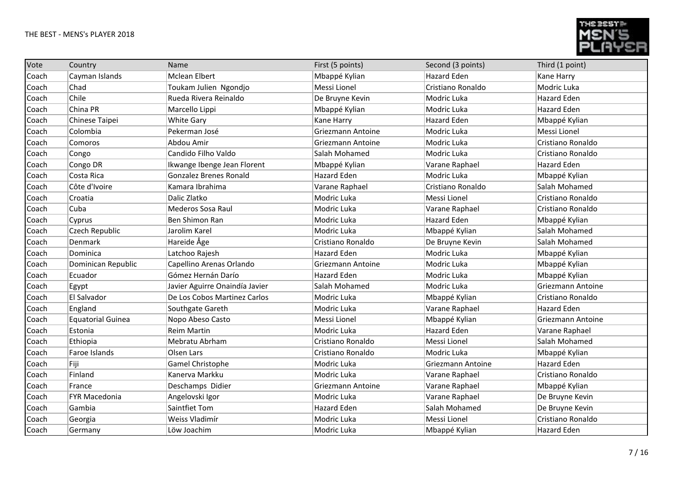

| Vote  | Country                  | Name                           | First (5 points)         | Second (3 points)  | Third (1 point)    |
|-------|--------------------------|--------------------------------|--------------------------|--------------------|--------------------|
| Coach | Cayman Islands           | <b>Mclean Elbert</b>           | Mbappé Kylian            | <b>Hazard Eden</b> | Kane Harry         |
| Coach | Chad                     | Toukam Julien Ngondjo          | Messi Lionel             | Cristiano Ronaldo  | Modric Luka        |
| Coach | Chile                    | Rueda Rivera Reinaldo          | De Bruyne Kevin          | Modric Luka        | <b>Hazard Eden</b> |
| Coach | China PR                 | Marcello Lippi                 | Mbappé Kylian            | Modric Luka        | <b>Hazard Eden</b> |
| Coach | Chinese Taipei           | <b>White Gary</b>              | Kane Harry               | Hazard Eden        | Mbappé Kylian      |
| Coach | Colombia                 | Pekerman José                  | Griezmann Antoine        | Modric Luka        | Messi Lionel       |
| Coach | Comoros                  | Abdou Amir                     | Griezmann Antoine        | Modric Luka        | Cristiano Ronaldo  |
| Coach | Congo                    | Candido Filho Valdo            | Salah Mohamed            | Modric Luka        | Cristiano Ronaldo  |
| Coach | Congo DR                 | Ikwange Ibenge Jean Florent    | Mbappé Kylian            | Varane Raphael     | Hazard Eden        |
| Coach | Costa Rica               | <b>Gonzalez Brenes Ronald</b>  | Hazard Eden              | Modric Luka        | Mbappé Kylian      |
| Coach | Côte d'Ivoire            | Kamara Ibrahima                | Varane Raphael           | Cristiano Ronaldo  | Salah Mohamed      |
| Coach | Croatia                  | Dalic Zlatko                   | Modric Luka              | Messi Lionel       | Cristiano Ronaldo  |
| Coach | Cuba                     | Mederos Sosa Raul              | Modric Luka              | Varane Raphael     | Cristiano Ronaldo  |
| Coach | Cyprus                   | Ben Shimon Ran                 | Modric Luka              | Hazard Eden        | Mbappé Kylian      |
| Coach | Czech Republic           | Jarolim Karel                  | Modric Luka              | Mbappé Kylian      | Salah Mohamed      |
| Coach | Denmark                  | Hareide Åge                    | Cristiano Ronaldo        | De Bruyne Kevin    | Salah Mohamed      |
| Coach | Dominica                 | Latchoo Rajesh                 | Hazard Eden              | Modric Luka        | Mbappé Kylian      |
| Coach | Dominican Republic       | Capellino Arenas Orlando       | <b>Griezmann Antoine</b> | Modric Luka        | Mbappé Kylian      |
| Coach | Ecuador                  | Gómez Hernán Darío             | Hazard Eden              | Modric Luka        | Mbappé Kylian      |
| Coach | Egypt                    | Javier Aguirre Onaindía Javier | Salah Mohamed            | Modric Luka        | Griezmann Antoine  |
| Coach | El Salvador              | De Los Cobos Martinez Carlos   | Modric Luka              | Mbappé Kylian      | Cristiano Ronaldo  |
| Coach | England                  | Southgate Gareth               | Modric Luka              | Varane Raphael     | Hazard Eden        |
| Coach | <b>Equatorial Guinea</b> | Nopo Abeso Casto               | Messi Lionel             | Mbappé Kylian      | Griezmann Antoine  |
| Coach | Estonia                  | <b>Reim Martin</b>             | Modric Luka              | Hazard Eden        | Varane Raphael     |
| Coach | Ethiopia                 | Mebratu Abrham                 | Cristiano Ronaldo        | Messi Lionel       | Salah Mohamed      |
| Coach | Faroe Islands            | Olsen Lars                     | Cristiano Ronaldo        | Modric Luka        | Mbappé Kylian      |
| Coach | Fiji                     | Gamel Christophe               | Modric Luka              | Griezmann Antoine  | <b>Hazard Eden</b> |
| Coach | Finland                  | Kanerva Markku                 | Modric Luka              | Varane Raphael     | Cristiano Ronaldo  |
| Coach | France                   | Deschamps Didier               | Griezmann Antoine        | Varane Raphael     | Mbappé Kylian      |
| Coach | <b>FYR Macedonia</b>     | Angelovski Igor                | Modric Luka              | Varane Raphael     | De Bruyne Kevin    |
| Coach | Gambia                   | Saintfiet Tom                  | Hazard Eden              | Salah Mohamed      | De Bruyne Kevin    |
| Coach | Georgia                  | Weiss Vladimír                 | Modric Luka              | Messi Lionel       | Cristiano Ronaldo  |
| Coach | Germany                  | Löw Joachim                    | Modric Luka              | Mbappé Kylian      | <b>Hazard Eden</b> |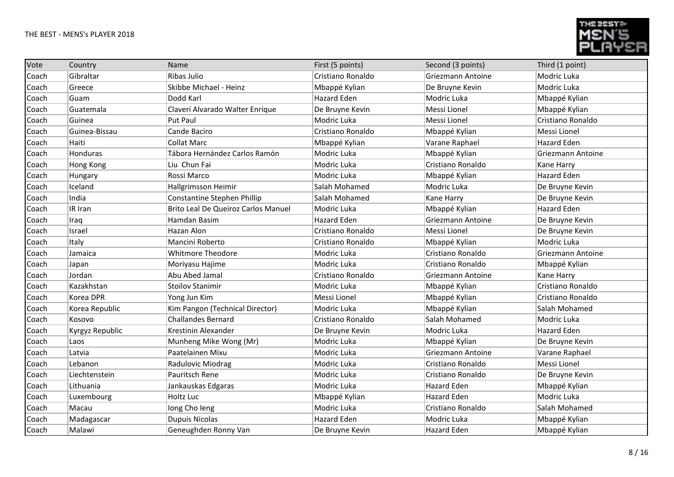

| Vote  | Country          | Name                                | First (5 points)   | Second (3 points)  | Third (1 point)    |
|-------|------------------|-------------------------------------|--------------------|--------------------|--------------------|
| Coach | Gibraltar        | Ribas Julio                         | Cristiano Ronaldo  | Griezmann Antoine  | Modric Luka        |
| Coach | Greece           | Skibbe Michael - Heinz              | Mbappé Kylian      | De Bruyne Kevin    | Modric Luka        |
| Coach | Guam             | Dodd Karl                           | <b>Hazard Eden</b> | Modric Luka        | Mbappé Kylian      |
| Coach | Guatemala        | Claverí Alvarado Walter Enrique     | De Bruyne Kevin    | Messi Lionel       | Mbappé Kylian      |
| Coach | Guinea           | Put Paul                            | Modric Luka        | Messi Lionel       | Cristiano Ronaldo  |
| Coach | Guinea-Bissau    | Cande Baciro                        | Cristiano Ronaldo  | Mbappé Kylian      | Messi Lionel       |
| Coach | Haiti            | <b>Collat Marc</b>                  | Mbappé Kylian      | Varane Raphael     | <b>Hazard Eden</b> |
| Coach | Honduras         | Tábora Hernández Carlos Ramón       | Modric Luka        | Mbappé Kylian      | Griezmann Antoine  |
| Coach | <b>Hong Kong</b> | Liu Chun Fai                        | Modric Luka        | Cristiano Ronaldo  | Kane Harry         |
| Coach | Hungary          | Rossi Marco                         | Modric Luka        | Mbappé Kylian      | <b>Hazard Eden</b> |
| Coach | Iceland          | Hallgrimsson Heimir                 | Salah Mohamed      | Modric Luka        | De Bruyne Kevin    |
| Coach | India            | <b>Constantine Stephen Phillip</b>  | Salah Mohamed      | Kane Harry         | De Bruyne Kevin    |
| Coach | IR Iran          | Brito Leal De Queiroz Carlos Manuel | Modric Luka        | Mbappé Kylian      | Hazard Eden        |
| Coach | Iraq             | Hamdan Basim                        | Hazard Eden        | Griezmann Antoine  | De Bruyne Kevin    |
| Coach | Israel           | Hazan Alon                          | Cristiano Ronaldo  | Messi Lionel       | De Bruyne Kevin    |
| Coach | Italy            | Mancini Roberto                     | Cristiano Ronaldo  | Mbappé Kylian      | Modric Luka        |
| Coach | Jamaica          | <b>Whitmore Theodore</b>            | Modric Luka        | Cristiano Ronaldo  | Griezmann Antoine  |
| Coach | Japan            | Moriyasu Hajime                     | Modric Luka        | Cristiano Ronaldo  | Mbappé Kylian      |
| Coach | Jordan           | Abu Abed Jamal                      | Cristiano Ronaldo  | Griezmann Antoine  | Kane Harry         |
| Coach | Kazakhstan       | <b>Stoilov Stanimir</b>             | Modric Luka        | Mbappé Kylian      | Cristiano Ronaldo  |
| Coach | Korea DPR        | Yong Jun Kim                        | Messi Lionel       | Mbappé Kylian      | Cristiano Ronaldo  |
| Coach | Korea Republic   | Kim Pangon (Technical Director)     | Modric Luka        | Mbappé Kylian      | Salah Mohamed      |
| Coach | Kosovo           | <b>Challandes Bernard</b>           | Cristiano Ronaldo  | Salah Mohamed      | Modric Luka        |
| Coach | Kyrgyz Republic  | Krestinin Alexander                 | De Bruyne Kevin    | Modric Luka        | <b>Hazard Eden</b> |
| Coach | Laos             | Munheng Mike Wong (Mr)              | Modric Luka        | Mbappé Kylian      | De Bruyne Kevin    |
| Coach | Latvia           | Paatelainen Mixu                    | Modric Luka        | Griezmann Antoine  | Varane Raphael     |
| Coach | Lebanon          | Radulovic Miodrag                   | Modric Luka        | Cristiano Ronaldo  | Messi Lionel       |
| Coach | Liechtenstein    | Pauritsch Rene                      | Modric Luka        | Cristiano Ronaldo  | De Bruyne Kevin    |
| Coach | Lithuania        | Jankauskas Edgaras                  | Modric Luka        | Hazard Eden        | Mbappé Kylian      |
| Coach | Luxembourg       | Holtz Luc                           | Mbappé Kylian      | <b>Hazard Eden</b> | Modric Luka        |
| Coach | Macau            | long Cho leng                       | Modric Luka        | Cristiano Ronaldo  | Salah Mohamed      |
| Coach | Madagascar       | <b>Dupuis Nicolas</b>               | Hazard Eden        | Modric Luka        | Mbappé Kylian      |
| Coach | Malawi           | Geneughden Ronny Van                | De Bruyne Kevin    | Hazard Eden        | Mbappé Kylian      |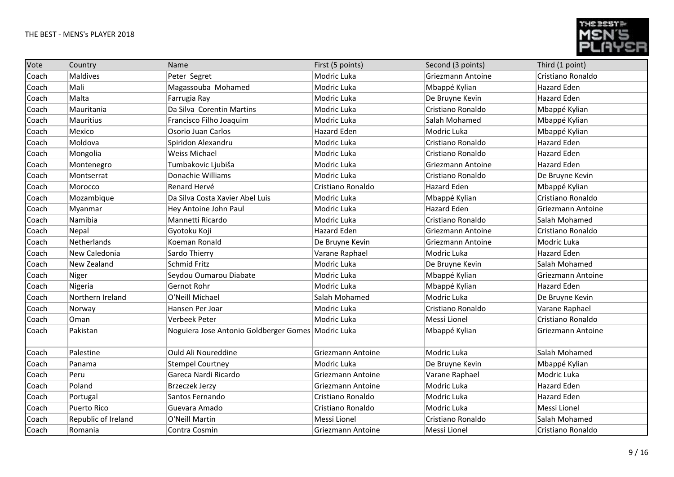

| Vote  | Country             | Name                                               | First (5 points)   | Second (3 points)  | Third (1 point)          |
|-------|---------------------|----------------------------------------------------|--------------------|--------------------|--------------------------|
| Coach | <b>Maldives</b>     | Peter Segret                                       | Modric Luka        | Griezmann Antoine  | Cristiano Ronaldo        |
| Coach | Mali                | Magassouba Mohamed                                 | Modric Luka        | Mbappé Kylian      | Hazard Eden              |
| Coach | Malta               | Farrugia Ray                                       | Modric Luka        | De Bruyne Kevin    | <b>Hazard Eden</b>       |
| Coach | Mauritania          | Da Silva Corentin Martins                          | Modric Luka        | Cristiano Ronaldo  | Mbappé Kylian            |
| Coach | <b>Mauritius</b>    | Francisco Filho Joaquim                            | Modric Luka        | Salah Mohamed      | Mbappé Kylian            |
| Coach | Mexico              | Osorio Juan Carlos                                 | Hazard Eden        | Modric Luka        | Mbappé Kylian            |
| Coach | Moldova             | Spiridon Alexandru                                 | Modric Luka        | Cristiano Ronaldo  | <b>Hazard Eden</b>       |
| Coach | Mongolia            | <b>Weiss Michael</b>                               | Modric Luka        | Cristiano Ronaldo  | <b>Hazard Eden</b>       |
| Coach | Montenegro          | Tumbakovic Ljubiša                                 | Modric Luka        | Griezmann Antoine  | <b>Hazard Eden</b>       |
| Coach | Montserrat          | Donachie Williams                                  | Modric Luka        | Cristiano Ronaldo  | De Bruyne Kevin          |
| Coach | Morocco             | Renard Hervé                                       | Cristiano Ronaldo  | <b>Hazard Eden</b> | Mbappé Kylian            |
| Coach | Mozambique          | Da Silva Costa Xavier Abel Luis                    | Modric Luka        | Mbappé Kylian      | Cristiano Ronaldo        |
| Coach | Myanmar             | Hey Antoine John Paul                              | Modric Luka        | <b>Hazard Eden</b> | <b>Griezmann Antoine</b> |
| Coach | Namibia             | Mannetti Ricardo                                   | Modric Luka        | Cristiano Ronaldo  | Salah Mohamed            |
| Coach | Nepal               | Gyotoku Koji                                       | <b>Hazard Eden</b> | Griezmann Antoine  | Cristiano Ronaldo        |
| Coach | Netherlands         | Koeman Ronald                                      | De Bruyne Kevin    | Griezmann Antoine  | Modric Luka              |
| Coach | New Caledonia       | Sardo Thierry                                      | Varane Raphael     | Modric Luka        | <b>Hazard Eden</b>       |
| Coach | New Zealand         | <b>Schmid Fritz</b>                                | Modric Luka        | De Bruyne Kevin    | Salah Mohamed            |
| Coach | Niger               | Seydou Oumarou Diabate                             | Modric Luka        | Mbappé Kylian      | <b>Griezmann Antoine</b> |
| Coach | Nigeria             | Gernot Rohr                                        | Modric Luka        | Mbappé Kylian      | <b>Hazard Eden</b>       |
| Coach | Northern Ireland    | O'Neill Michael                                    | Salah Mohamed      | Modric Luka        | De Bruyne Kevin          |
| Coach | Norway              | Hansen Per Joar                                    | Modric Luka        | Cristiano Ronaldo  | Varane Raphael           |
| Coach | Oman                | Verbeek Peter                                      | Modric Luka        | Messi Lionel       | Cristiano Ronaldo        |
| Coach | Pakistan            | Noguiera Jose Antonio Goldberger Gomes Modric Luka |                    | Mbappé Kylian      | Griezmann Antoine        |
| Coach | Palestine           | Ould Ali Noureddine                                | Griezmann Antoine  | Modric Luka        | Salah Mohamed            |
| Coach | Panama              | <b>Stempel Courtney</b>                            | Modric Luka        | De Bruyne Kevin    | Mbappé Kylian            |
| Coach | Peru                | Gareca Nardi Ricardo                               | Griezmann Antoine  | Varane Raphael     | Modric Luka              |
| Coach | Poland              | <b>Brzeczek Jerzy</b>                              | Griezmann Antoine  | Modric Luka        | <b>Hazard Eden</b>       |
| Coach | Portugal            | Santos Fernando                                    | Cristiano Ronaldo  | Modric Luka        | Hazard Eden              |
| Coach | <b>Puerto Rico</b>  | Guevara Amado                                      | Cristiano Ronaldo  | Modric Luka        | Messi Lionel             |
| Coach | Republic of Ireland | O'Neill Martin                                     | Messi Lionel       | Cristiano Ronaldo  | Salah Mohamed            |
| Coach | Romania             | Contra Cosmin                                      | Griezmann Antoine  | Messi Lionel       | Cristiano Ronaldo        |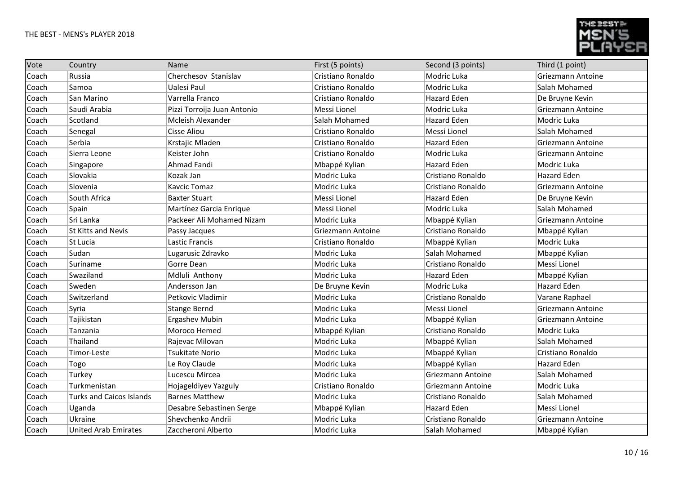

| Vote  | Country                         | Name                        | First (5 points)  | Second (3 points)  | Third (1 point)          |
|-------|---------------------------------|-----------------------------|-------------------|--------------------|--------------------------|
| Coach | Russia                          | Cherchesov Stanislav        | Cristiano Ronaldo | Modric Luka        | <b>Griezmann Antoine</b> |
| Coach | Samoa                           | Ualesi Paul                 | Cristiano Ronaldo | Modric Luka        | Salah Mohamed            |
| Coach | San Marino                      | Varrella Franco             | Cristiano Ronaldo | <b>Hazard Eden</b> | De Bruyne Kevin          |
| Coach | Saudi Arabia                    | Pizzi Torroija Juan Antonio | Messi Lionel      | Modric Luka        | Griezmann Antoine        |
| Coach | Scotland                        | Mcleish Alexander           | Salah Mohamed     | <b>Hazard Eden</b> | Modric Luka              |
| Coach | Senegal                         | Cisse Aliou                 | Cristiano Ronaldo | Messi Lionel       | Salah Mohamed            |
| Coach | Serbia                          | Krstajic Mladen             | Cristiano Ronaldo | Hazard Eden        | Griezmann Antoine        |
| Coach | Sierra Leone                    | Keister John                | Cristiano Ronaldo | Modric Luka        | Griezmann Antoine        |
| Coach | Singapore                       | Ahmad Fandi                 | Mbappé Kylian     | Hazard Eden        | Modric Luka              |
| Coach | Slovakia                        | Kozak Jan                   | Modric Luka       | Cristiano Ronaldo  | <b>Hazard Eden</b>       |
| Coach | Slovenia                        | <b>Kavcic Tomaz</b>         | Modric Luka       | Cristiano Ronaldo  | Griezmann Antoine        |
| Coach | South Africa                    | <b>Baxter Stuart</b>        | Messi Lionel      | <b>Hazard Eden</b> | De Bruyne Kevin          |
| Coach | Spain                           | Martínez Garcia Enrique     | Messi Lionel      | Modric Luka        | Salah Mohamed            |
| Coach | Sri Lanka                       | Packeer Ali Mohamed Nizam   | Modric Luka       | Mbappé Kylian      | Griezmann Antoine        |
| Coach | <b>St Kitts and Nevis</b>       | Passy Jacques               | Griezmann Antoine | Cristiano Ronaldo  | Mbappé Kylian            |
| Coach | St Lucia                        | Lastic Francis              | Cristiano Ronaldo | Mbappé Kylian      | Modric Luka              |
| Coach | Sudan                           | Lugarusic Zdravko           | Modric Luka       | Salah Mohamed      | Mbappé Kylian            |
| Coach | Suriname                        | Gorre Dean                  | Modric Luka       | Cristiano Ronaldo  | Messi Lionel             |
| Coach | Swaziland                       | Mdluli Anthony              | Modric Luka       | <b>Hazard Eden</b> | Mbappé Kylian            |
| Coach | Sweden                          | Andersson Jan               | De Bruyne Kevin   | Modric Luka        | <b>Hazard Eden</b>       |
| Coach | Switzerland                     | Petkovic Vladimir           | Modric Luka       | Cristiano Ronaldo  | Varane Raphael           |
| Coach | Syria                           | <b>Stange Bernd</b>         | Modric Luka       | Messi Lionel       | Griezmann Antoine        |
| Coach | Tajikistan                      | <b>Ergashev Mubin</b>       | Modric Luka       | Mbappé Kylian      | Griezmann Antoine        |
| Coach | Tanzania                        | Moroco Hemed                | Mbappé Kylian     | Cristiano Ronaldo  | Modric Luka              |
| Coach | Thailand                        | Rajevac Milovan             | Modric Luka       | Mbappé Kylian      | Salah Mohamed            |
| Coach | Timor-Leste                     | <b>Tsukitate Norio</b>      | Modric Luka       | Mbappé Kylian      | Cristiano Ronaldo        |
| Coach | Togo                            | Le Roy Claude               | Modric Luka       | Mbappé Kylian      | <b>Hazard Eden</b>       |
| Coach | Turkey                          | Lucescu Mircea              | Modric Luka       | Griezmann Antoine  | Salah Mohamed            |
| Coach | Turkmenistan                    | Hojageldiyev Yazguly        | Cristiano Ronaldo | Griezmann Antoine  | Modric Luka              |
| Coach | <b>Turks and Caicos Islands</b> | <b>Barnes Matthew</b>       | Modric Luka       | Cristiano Ronaldo  | Salah Mohamed            |
| Coach | Uganda                          | Desabre Sebastinen Serge    | Mbappé Kylian     | <b>Hazard Eden</b> | Messi Lionel             |
| Coach | Ukraine                         | Shevchenko Andrii           | Modric Luka       | Cristiano Ronaldo  | Griezmann Antoine        |
| Coach | <b>United Arab Emirates</b>     | Zaccheroni Alberto          | Modric Luka       | Salah Mohamed      | Mbappé Kylian            |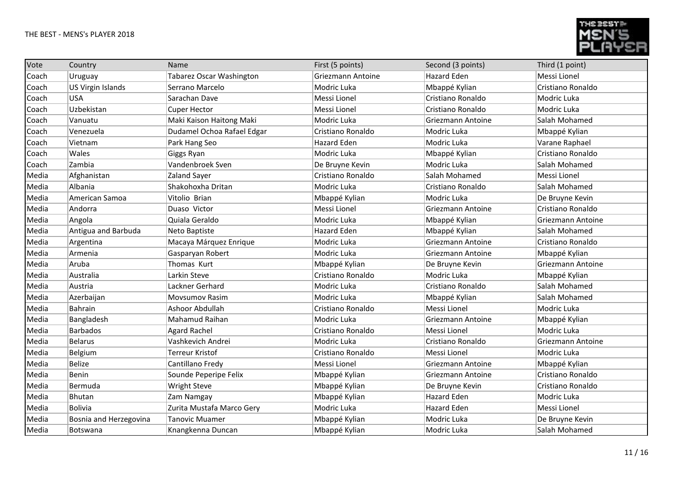

| Vote  | Country                  | Name                       | First (5 points)   | Second (3 points)  | Third (1 point)   |
|-------|--------------------------|----------------------------|--------------------|--------------------|-------------------|
| Coach | Uruguay                  | Tabarez Oscar Washington   | Griezmann Antoine  | <b>Hazard Eden</b> | Messi Lionel      |
| Coach | <b>US Virgin Islands</b> | Serrano Marcelo            | Modric Luka        | Mbappé Kylian      | Cristiano Ronaldo |
| Coach | <b>USA</b>               | Sarachan Dave              | Messi Lionel       | Cristiano Ronaldo  | Modric Luka       |
| Coach | Uzbekistan               | Cuper Hector               | Messi Lionel       | Cristiano Ronaldo  | Modric Luka       |
| Coach | Vanuatu                  | Maki Kaison Haitong Maki   | Modric Luka        | Griezmann Antoine  | Salah Mohamed     |
| Coach | Venezuela                | Dudamel Ochoa Rafael Edgar | Cristiano Ronaldo  | Modric Luka        | Mbappé Kylian     |
| Coach | Vietnam                  | Park Hang Seo              | <b>Hazard Eden</b> | Modric Luka        | Varane Raphael    |
| Coach | Wales                    | Giggs Ryan                 | Modric Luka        | Mbappé Kylian      | Cristiano Ronaldo |
| Coach | Zambia                   | Vandenbroek Sven           | De Bruyne Kevin    | Modric Luka        | Salah Mohamed     |
| Media | Afghanistan              | <b>Zaland Sayer</b>        | Cristiano Ronaldo  | Salah Mohamed      | Messi Lionel      |
| Media | Albania                  | Shakohoxha Dritan          | Modric Luka        | Cristiano Ronaldo  | Salah Mohamed     |
| Media | American Samoa           | Vitolio Brian              | Mbappé Kylian      | Modric Luka        | De Bruyne Kevin   |
| Media | Andorra                  | Duaso Victor               | Messi Lionel       | Griezmann Antoine  | Cristiano Ronaldo |
| Media | Angola                   | Quiala Geraldo             | Modric Luka        | Mbappé Kylian      | Griezmann Antoine |
| Media | Antigua and Barbuda      | Neto Baptiste              | Hazard Eden        | Mbappé Kylian      | Salah Mohamed     |
| Media | Argentina                | Macaya Márquez Enrique     | Modric Luka        | Griezmann Antoine  | Cristiano Ronaldo |
| Media | Armenia                  | Gasparyan Robert           | Modric Luka        | Griezmann Antoine  | Mbappé Kylian     |
| Media | Aruba                    | Thomas Kurt                | Mbappé Kylian      | De Bruyne Kevin    | Griezmann Antoine |
| Media | Australia                | Larkin Steve               | Cristiano Ronaldo  | Modric Luka        | Mbappé Kylian     |
| Media | Austria                  | Lackner Gerhard            | Modric Luka        | Cristiano Ronaldo  | Salah Mohamed     |
| Media | Azerbaijan               | Movsumov Rasim             | Modric Luka        | Mbappé Kylian      | Salah Mohamed     |
| Media | Bahrain                  | Ashoor Abdullah            | Cristiano Ronaldo  | Messi Lionel       | Modric Luka       |
| Media | Bangladesh               | Mahamud Raihan             | Modric Luka        | Griezmann Antoine  | Mbappé Kylian     |
| Media | <b>Barbados</b>          | Agard Rachel               | Cristiano Ronaldo  | Messi Lionel       | Modric Luka       |
| Media | <b>Belarus</b>           | Vashkevich Andrei          | Modric Luka        | Cristiano Ronaldo  | Griezmann Antoine |
| Media | Belgium                  | Terreur Kristof            | Cristiano Ronaldo  | Messi Lionel       | Modric Luka       |
| Media | <b>Belize</b>            | Cantillano Fredy           | Messi Lionel       | Griezmann Antoine  | Mbappé Kylian     |
| Media | Benin                    | Sounde Peperipe Felix      | Mbappé Kylian      | Griezmann Antoine  | Cristiano Ronaldo |
| Media | Bermuda                  | <b>Wright Steve</b>        | Mbappé Kylian      | De Bruyne Kevin    | Cristiano Ronaldo |
| Media | Bhutan                   | Zam Namgay                 | Mbappé Kylian      | <b>Hazard Eden</b> | Modric Luka       |
| Media | Bolivia                  | Zurita Mustafa Marco Gery  | Modric Luka        | Hazard Eden        | Messi Lionel      |
| Media | Bosnia and Herzegovina   | <b>Tanovic Muamer</b>      | Mbappé Kylian      | Modric Luka        | De Bruyne Kevin   |
| Media | Botswana                 | Knangkenna Duncan          | Mbappé Kylian      | Modric Luka        | Salah Mohamed     |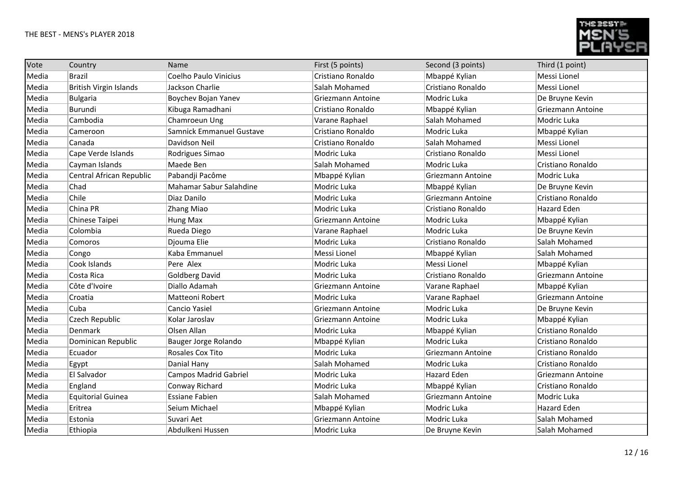

| Vote  | Country                       | Name                         | First (5 points)         | Second (3 points) | Third (1 point)          |
|-------|-------------------------------|------------------------------|--------------------------|-------------------|--------------------------|
| Media | <b>Brazil</b>                 | Coelho Paulo Vinicius        | Cristiano Ronaldo        | Mbappé Kylian     | Messi Lionel             |
| Media | <b>British Virgin Islands</b> | Jackson Charlie              | Salah Mohamed            | Cristiano Ronaldo | Messi Lionel             |
| Media | Bulgaria                      | Boychev Bojan Yanev          | <b>Griezmann Antoine</b> | Modric Luka       | De Bruyne Kevin          |
| Media | Burundi                       | Kibuga Ramadhani             | Cristiano Ronaldo        | Mbappé Kylian     | <b>Griezmann Antoine</b> |
| Media | Cambodia                      | Chamroeun Ung                | Varane Raphael           | Salah Mohamed     | Modric Luka              |
| Media | Cameroon                      | Samnick Emmanuel Gustave     | Cristiano Ronaldo        | Modric Luka       | Mbappé Kylian            |
| Media | Canada                        | Davidson Neil                | Cristiano Ronaldo        | Salah Mohamed     | Messi Lionel             |
| Media | Cape Verde Islands            | Rodrigues Simao              | Modric Luka              | Cristiano Ronaldo | Messi Lionel             |
| Media | Cayman Islands                | Maede Ben                    | Salah Mohamed            | Modric Luka       | Cristiano Ronaldo        |
| Media | Central African Republic      | Pabandji Pacôme              | Mbappé Kylian            | Griezmann Antoine | Modric Luka              |
| Media | Chad                          | Mahamar Sabur Salahdine      | Modric Luka              | Mbappé Kylian     | De Bruyne Kevin          |
| Media | Chile                         | Diaz Danilo                  | Modric Luka              | Griezmann Antoine | Cristiano Ronaldo        |
| Media | China PR                      | Zhang Miao                   | Modric Luka              | Cristiano Ronaldo | <b>Hazard Eden</b>       |
| Media | Chinese Taipei                | Hung Max                     | <b>Griezmann Antoine</b> | Modric Luka       | Mbappé Kylian            |
| Media | Colombia                      | Rueda Diego                  | Varane Raphael           | Modric Luka       | De Bruyne Kevin          |
| Media | Comoros                       | Djouma Elie                  | Modric Luka              | Cristiano Ronaldo | Salah Mohamed            |
| Media | Congo                         | Kaba Emmanuel                | Messi Lionel             | Mbappé Kylian     | Salah Mohamed            |
| Media | Cook Islands                  | Pere Alex                    | Modric Luka              | Messi Lionel      | Mbappé Kylian            |
| Media | Costa Rica                    | Goldberg David               | Modric Luka              | Cristiano Ronaldo | Griezmann Antoine        |
| Media | Côte d'Ivoire                 | Diallo Adamah                | Griezmann Antoine        | Varane Raphael    | Mbappé Kylian            |
| Media | Croatia                       | Matteoni Robert              | Modric Luka              | Varane Raphael    | Griezmann Antoine        |
| Media | Cuba                          | Cancio Yasiel                | <b>Griezmann Antoine</b> | Modric Luka       | De Bruyne Kevin          |
| Media | Czech Republic                | Kolar Jaroslav               | Griezmann Antoine        | Modric Luka       | Mbappé Kylian            |
| Media | Denmark                       | Olsen Allan                  | Modric Luka              | Mbappé Kylian     | Cristiano Ronaldo        |
| Media | Dominican Republic            | Bauger Jorge Rolando         | Mbappé Kylian            | Modric Luka       | Cristiano Ronaldo        |
| Media | Ecuador                       | Rosales Cox Tito             | Modric Luka              | Griezmann Antoine | Cristiano Ronaldo        |
| Media | Egypt                         | Danial Hany                  | Salah Mohamed            | Modric Luka       | Cristiano Ronaldo        |
| Media | El Salvador                   | <b>Campos Madrid Gabriel</b> | Modric Luka              | Hazard Eden       | Griezmann Antoine        |
| Media | England                       | Conway Richard               | Modric Luka              | Mbappé Kylian     | Cristiano Ronaldo        |
| Media | <b>Equitorial Guinea</b>      | <b>Essiane Fabien</b>        | Salah Mohamed            | Griezmann Antoine | Modric Luka              |
| Media | Eritrea                       | Seium Michael                | Mbappé Kylian            | Modric Luka       | <b>Hazard Eden</b>       |
| Media | Estonia                       | Suvari Aet                   | <b>Griezmann Antoine</b> | Modric Luka       | Salah Mohamed            |
| Media | Ethiopia                      | Abdulkeni Hussen             | Modric Luka              | De Bruyne Kevin   | Salah Mohamed            |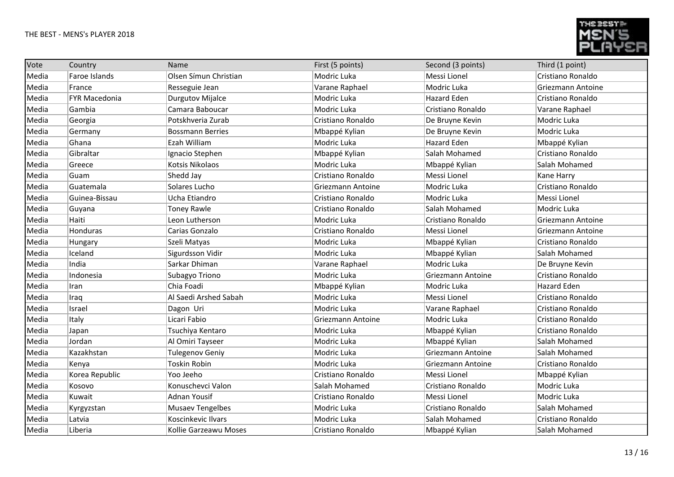

| Vote  | Country              | Name                    | First (5 points)  | Second (3 points)  | Third (1 point)    |
|-------|----------------------|-------------------------|-------------------|--------------------|--------------------|
| Media | Faroe Islands        | Olsen Símun Christian   | Modric Luka       | Messi Lionel       | Cristiano Ronaldo  |
| Media | France               | Resseguie Jean          | Varane Raphael    | Modric Luka        | Griezmann Antoine  |
| Media | <b>FYR Macedonia</b> | Durgutov Mijalce        | Modric Luka       | <b>Hazard Eden</b> | Cristiano Ronaldo  |
| Media | Gambia               | Camara Baboucar         | Modric Luka       | Cristiano Ronaldo  | Varane Raphael     |
| Media | Georgia              | Potskhveria Zurab       | Cristiano Ronaldo | De Bruyne Kevin    | Modric Luka        |
| Media | Germany              | <b>Bossmann Berries</b> | Mbappé Kylian     | De Bruyne Kevin    | Modric Luka        |
| Media | Ghana                | Ezah William            | Modric Luka       | <b>Hazard Eden</b> | Mbappé Kylian      |
| Media | Gibraltar            | Ignacio Stephen         | Mbappé Kylian     | Salah Mohamed      | Cristiano Ronaldo  |
| Media | Greece               | Kotsis Nikolaos         | Modric Luka       | Mbappé Kylian      | Salah Mohamed      |
| Media | Guam                 | Shedd Jay               | Cristiano Ronaldo | Messi Lionel       | Kane Harry         |
| Media | Guatemala            | Solares Lucho           | Griezmann Antoine | Modric Luka        | Cristiano Ronaldo  |
| Media | Guinea-Bissau        | Ucha Etiandro           | Cristiano Ronaldo | Modric Luka        | Messi Lionel       |
| Media | Guyana               | <b>Toney Rawle</b>      | Cristiano Ronaldo | Salah Mohamed      | Modric Luka        |
| Media | Haiti                | Leon Lutherson          | Modric Luka       | Cristiano Ronaldo  | Griezmann Antoine  |
| Media | Honduras             | Carias Gonzalo          | Cristiano Ronaldo | Messi Lionel       | Griezmann Antoine  |
| Media | Hungary              | Szeli Matyas            | Modric Luka       | Mbappé Kylian      | Cristiano Ronaldo  |
| Media | Iceland              | Sigurdsson Vidir        | Modric Luka       | Mbappé Kylian      | Salah Mohamed      |
| Media | India                | Sarkar Dhiman           | Varane Raphael    | Modric Luka        | De Bruyne Kevin    |
| Media | Indonesia            | Subagyo Triono          | Modric Luka       | Griezmann Antoine  | Cristiano Ronaldo  |
| Media | Iran                 | Chia Foadi              | Mbappé Kylian     | Modric Luka        | <b>Hazard Eden</b> |
| Media | Iraq                 | Al Saedi Arshed Sabah   | Modric Luka       | Messi Lionel       | Cristiano Ronaldo  |
| Media | Israel               | Dagon Uri               | Modric Luka       | Varane Raphael     | Cristiano Ronaldo  |
| Media | Italy                | Licari Fabio            | Griezmann Antoine | Modric Luka        | Cristiano Ronaldo  |
| Media | Japan                | Tsuchiya Kentaro        | Modric Luka       | Mbappé Kylian      | Cristiano Ronaldo  |
| Media | Jordan               | Al Omiri Tayseer        | Modric Luka       | Mbappé Kylian      | Salah Mohamed      |
| Media | Kazakhstan           | Tulegenov Geniy         | Modric Luka       | Griezmann Antoine  | Salah Mohamed      |
| Media | Kenya                | <b>Toskin Robin</b>     | Modric Luka       | Griezmann Antoine  | Cristiano Ronaldo  |
| Media | Korea Republic       | Yoo Jeeho               | Cristiano Ronaldo | Messi Lionel       | Mbappé Kylian      |
| Media | Kosovo               | Konuschevci Valon       | Salah Mohamed     | Cristiano Ronaldo  | Modric Luka        |
| Media | Kuwait               | <b>Adnan Yousif</b>     | Cristiano Ronaldo | Messi Lionel       | Modric Luka        |
| Media | Kyrgyzstan           | <b>Musaev Tengelbes</b> | Modric Luka       | Cristiano Ronaldo  | Salah Mohamed      |
| Media | Latvia               | Koscinkevic Ilvars      | Modric Luka       | Salah Mohamed      | Cristiano Ronaldo  |
| Media | Liberia              | Kollie Garzeawu Moses   | Cristiano Ronaldo | Mbappé Kylian      | Salah Mohamed      |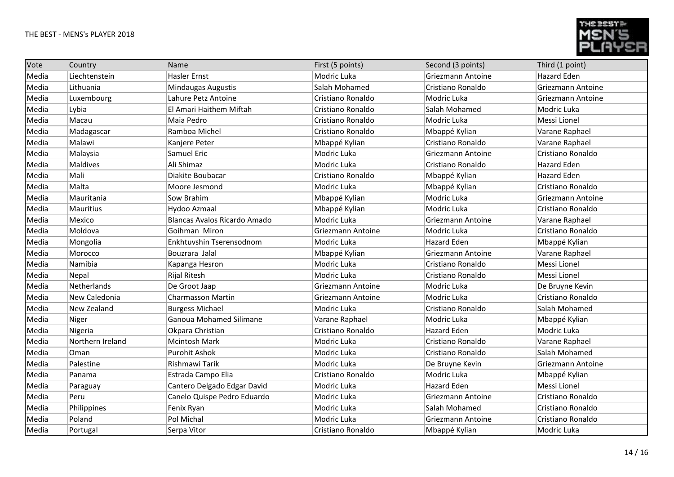

| Vote  | Country            | Name                         | First (5 points)  | Second (3 points)        | Third (1 point)   |
|-------|--------------------|------------------------------|-------------------|--------------------------|-------------------|
| Media | Liechtenstein      | <b>Hasler Ernst</b>          | Modric Luka       | <b>Griezmann Antoine</b> | Hazard Eden       |
| Media | Lithuania          | Mindaugas Augustis           | Salah Mohamed     | Cristiano Ronaldo        | Griezmann Antoine |
| Media | Luxembourg         | Lahure Petz Antoine          | Cristiano Ronaldo | Modric Luka              | Griezmann Antoine |
| Media | Lybia              | El Amari Haithem Miftah      | Cristiano Ronaldo | Salah Mohamed            | Modric Luka       |
| Media | Macau              | Maia Pedro                   | Cristiano Ronaldo | Modric Luka              | Messi Lionel      |
| Media | Madagascar         | Ramboa Michel                | Cristiano Ronaldo | Mbappé Kylian            | Varane Raphael    |
| Media | Malawi             | Kanjere Peter                | Mbappé Kylian     | Cristiano Ronaldo        | Varane Raphael    |
| Media | Malaysia           | Samuel Eric                  | Modric Luka       | <b>Griezmann Antoine</b> | Cristiano Ronaldo |
| Media | <b>Maldives</b>    | Ali Shimaz                   | Modric Luka       | Cristiano Ronaldo        | Hazard Eden       |
| Media | Mali               | Diakite Boubacar             | Cristiano Ronaldo | Mbappé Kylian            | Hazard Eden       |
| Media | Malta              | Moore Jesmond                | Modric Luka       | Mbappé Kylian            | Cristiano Ronaldo |
| Media | Mauritania         | Sow Brahim                   | Mbappé Kylian     | Modric Luka              | Griezmann Antoine |
| Media | <b>Mauritius</b>   | Hydoo Azmaal                 | Mbappé Kylian     | Modric Luka              | Cristiano Ronaldo |
| Media | Mexico             | Blancas Avalos Ricardo Amado | Modric Luka       | Griezmann Antoine        | Varane Raphael    |
| Media | Moldova            | Goihman Miron                | Griezmann Antoine | Modric Luka              | Cristiano Ronaldo |
| Media | Mongolia           | Enkhtuvshin Tserensodnom     | Modric Luka       | Hazard Eden              | Mbappé Kylian     |
| Media | Morocco            | Bouzrara Jalal               | Mbappé Kylian     | Griezmann Antoine        | Varane Raphael    |
| Media | Namibia            | Kapanga Hesron               | Modric Luka       | Cristiano Ronaldo        | Messi Lionel      |
| Media | Nepal              | <b>Rijal Ritesh</b>          | Modric Luka       | Cristiano Ronaldo        | Messi Lionel      |
| Media | Netherlands        | De Groot Jaap                | Griezmann Antoine | Modric Luka              | De Bruyne Kevin   |
| Media | New Caledonia      | <b>Charmasson Martin</b>     | Griezmann Antoine | Modric Luka              | Cristiano Ronaldo |
| Media | <b>New Zealand</b> | <b>Burgess Michael</b>       | Modric Luka       | Cristiano Ronaldo        | Salah Mohamed     |
| Media | Niger              | Ganoua Mohamed Silimane      | Varane Raphael    | Modric Luka              | Mbappé Kylian     |
| Media | Nigeria            | Okpara Christian             | Cristiano Ronaldo | <b>Hazard Eden</b>       | Modric Luka       |
| Media | Northern Ireland   | <b>Mcintosh Mark</b>         | Modric Luka       | Cristiano Ronaldo        | Varane Raphael    |
| Media | Oman               | Purohit Ashok                | Modric Luka       | Cristiano Ronaldo        | Salah Mohamed     |
| Media | Palestine          | Rishmawi Tarik               | Modric Luka       | De Bruyne Kevin          | Griezmann Antoine |
| Media | Panama             | Estrada Campo Elia           | Cristiano Ronaldo | Modric Luka              | Mbappé Kylian     |
| Media | Paraguay           | Cantero Delgado Edgar David  | Modric Luka       | <b>Hazard Eden</b>       | Messi Lionel      |
| Media | Peru               | Canelo Quispe Pedro Eduardo  | Modric Luka       | Griezmann Antoine        | Cristiano Ronaldo |
| Media | Philippines        | Fenix Ryan                   | Modric Luka       | Salah Mohamed            | Cristiano Ronaldo |
| Media | Poland             | Pol Michal                   | Modric Luka       | Griezmann Antoine        | Cristiano Ronaldo |
| Media | Portugal           | Serpa Vitor                  | Cristiano Ronaldo | Mbappé Kylian            | Modric Luka       |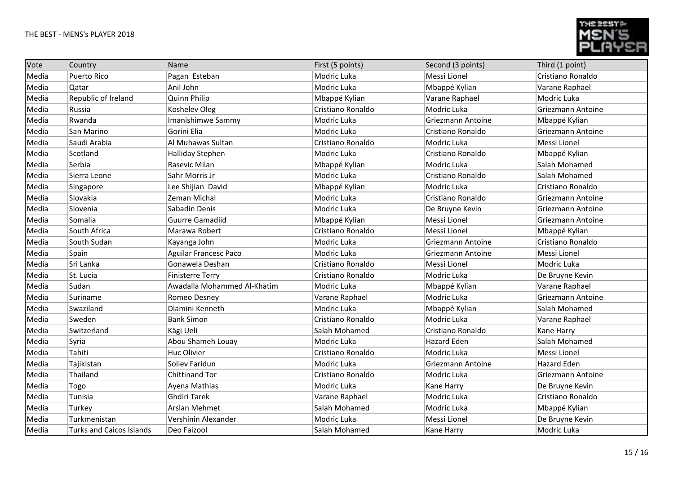

| Vote  | Country                         | Name                         | First (5 points)  | Second (3 points) | Third (1 point)    |
|-------|---------------------------------|------------------------------|-------------------|-------------------|--------------------|
| Media | <b>Puerto Rico</b>              | Pagan Esteban                | Modric Luka       | Messi Lionel      | Cristiano Ronaldo  |
| Media | Qatar                           | Anil John                    | Modric Luka       | Mbappé Kylian     | Varane Raphael     |
| Media | Republic of Ireland             | <b>Quinn Philip</b>          | Mbappé Kylian     | Varane Raphael    | Modric Luka        |
| Media | Russia                          | Koshelev Oleg                | Cristiano Ronaldo | Modric Luka       | Griezmann Antoine  |
| Media | Rwanda                          | Imanishimwe Sammy            | Modric Luka       | Griezmann Antoine | Mbappé Kylian      |
| Media | San Marino                      | Gorini Elia                  | Modric Luka       | Cristiano Ronaldo | Griezmann Antoine  |
| Media | Saudi Arabia                    | Al Muhawas Sultan            | Cristiano Ronaldo | Modric Luka       | Messi Lionel       |
| Media | Scotland                        | Halliday Stephen             | Modric Luka       | Cristiano Ronaldo | Mbappé Kylian      |
| Media | Serbia                          | Rasevic Milan                | Mbappé Kylian     | Modric Luka       | Salah Mohamed      |
| Media | Sierra Leone                    | Sahr Morris Jr               | Modric Luka       | Cristiano Ronaldo | Salah Mohamed      |
| Media | Singapore                       | Lee Shijian David            | Mbappé Kylian     | Modric Luka       | Cristiano Ronaldo  |
| Media | Slovakia                        | Zeman Michal                 | Modric Luka       | Cristiano Ronaldo | Griezmann Antoine  |
| Media | Slovenia                        | Sabadin Denis                | Modric Luka       | De Bruyne Kevin   | Griezmann Antoine  |
| Media | Somalia                         | <b>Guurre Gamadiid</b>       | Mbappé Kylian     | Messi Lionel      | Griezmann Antoine  |
| Media | South Africa                    | Marawa Robert                | Cristiano Ronaldo | Messi Lionel      | Mbappé Kylian      |
| Media | South Sudan                     | Kayanga John                 | Modric Luka       | Griezmann Antoine | Cristiano Ronaldo  |
| Media | Spain                           | <b>Aguilar Francesc Paco</b> | Modric Luka       | Griezmann Antoine | Messi Lionel       |
| Media | Sri Lanka                       | Gonawela Deshan              | Cristiano Ronaldo | Messi Lionel      | Modric Luka        |
| Media | St. Lucia                       | <b>Finisterre Terry</b>      | Cristiano Ronaldo | Modric Luka       | De Bruyne Kevin    |
| Media | Sudan                           | Awadalla Mohammed Al-Khatim  | Modric Luka       | Mbappé Kylian     | Varane Raphael     |
| Media | Suriname                        | Romeo Desney                 | Varane Raphael    | Modric Luka       | Griezmann Antoine  |
| Media | Swaziland                       | Dlamini Kenneth              | Modric Luka       | Mbappé Kylian     | Salah Mohamed      |
| Media | Sweden                          | <b>Bank Simon</b>            | Cristiano Ronaldo | Modric Luka       | Varane Raphael     |
| Media | Switzerland                     | Kägi Ueli                    | Salah Mohamed     | Cristiano Ronaldo | Kane Harry         |
| Media | Syria                           | Abou Shameh Louay            | Modric Luka       | Hazard Eden       | Salah Mohamed      |
| Media | Tahiti                          | <b>Huc Olivier</b>           | Cristiano Ronaldo | Modric Luka       | Messi Lionel       |
| Media | Tajikistan                      | Soliev Faridun               | Modric Luka       | Griezmann Antoine | <b>Hazard Eden</b> |
| Media | Thailand                        | <b>Chittinand Tor</b>        | Cristiano Ronaldo | Modric Luka       | Griezmann Antoine  |
| Media | Togo                            | Ayena Mathias                | Modric Luka       | Kane Harry        | De Bruyne Kevin    |
| Media | Tunisia                         | <b>Ghdiri Tarek</b>          | Varane Raphael    | Modric Luka       | Cristiano Ronaldo  |
| Media | Turkey                          | Arslan Mehmet                | Salah Mohamed     | Modric Luka       | Mbappé Kylian      |
| Media | Turkmenistan                    | Vershinin Alexander          | Modric Luka       | Messi Lionel      | De Bruyne Kevin    |
| Media | <b>Turks and Caicos Islands</b> | Deo Faizool                  | Salah Mohamed     | Kane Harry        | Modric Luka        |